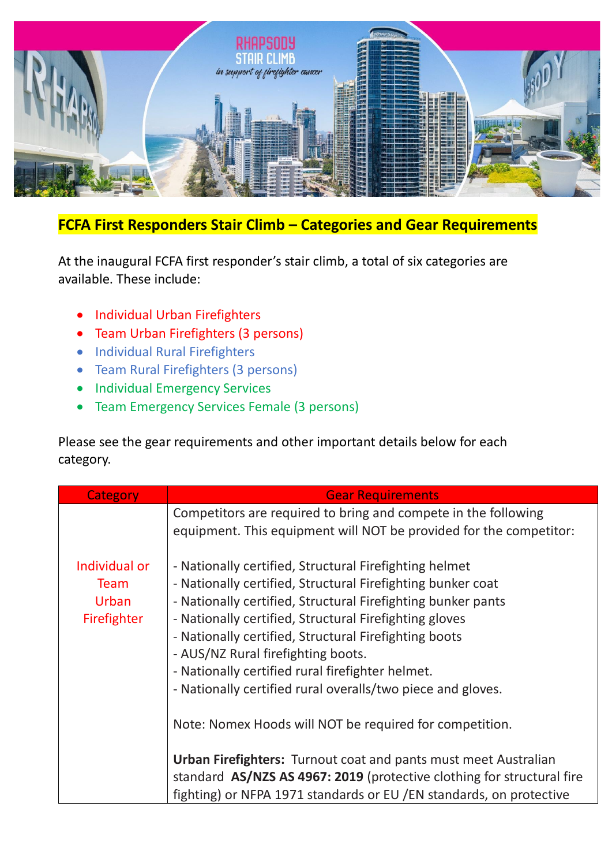

## **FCFA First Responders Stair Climb – Categories and Gear Requirements**

At the inaugural FCFA first responder's stair climb, a total of six categories are available. These include:

- Individual Urban Firefighters
- Team Urban Firefighters (3 persons)
- Individual Rural Firefighters
- Team Rural Firefighters (3 persons)
- Individual Emergency Services
- Team Emergency Services Female (3 persons)

Please see the gear requirements and other important details below for each category.

| Category      | <b>Gear Requirements</b>                                                                                                             |
|---------------|--------------------------------------------------------------------------------------------------------------------------------------|
|               | Competitors are required to bring and compete in the following<br>equipment. This equipment will NOT be provided for the competitor: |
| Individual or | - Nationally certified, Structural Firefighting helmet                                                                               |
| <b>Team</b>   | - Nationally certified, Structural Firefighting bunker coat                                                                          |
| Urban         | - Nationally certified, Structural Firefighting bunker pants                                                                         |
| Firefighter   | - Nationally certified, Structural Firefighting gloves                                                                               |
|               | - Nationally certified, Structural Firefighting boots                                                                                |
|               | - AUS/NZ Rural firefighting boots.                                                                                                   |
|               | - Nationally certified rural firefighter helmet.                                                                                     |
|               | - Nationally certified rural overalls/two piece and gloves.                                                                          |
|               | Note: Nomex Hoods will NOT be required for competition.                                                                              |
|               | <b>Urban Firefighters:</b> Turnout coat and pants must meet Australian                                                               |
|               | standard AS/NZS AS 4967: 2019 (protective clothing for structural fire                                                               |
|               | fighting) or NFPA 1971 standards or EU / EN standards, on protective                                                                 |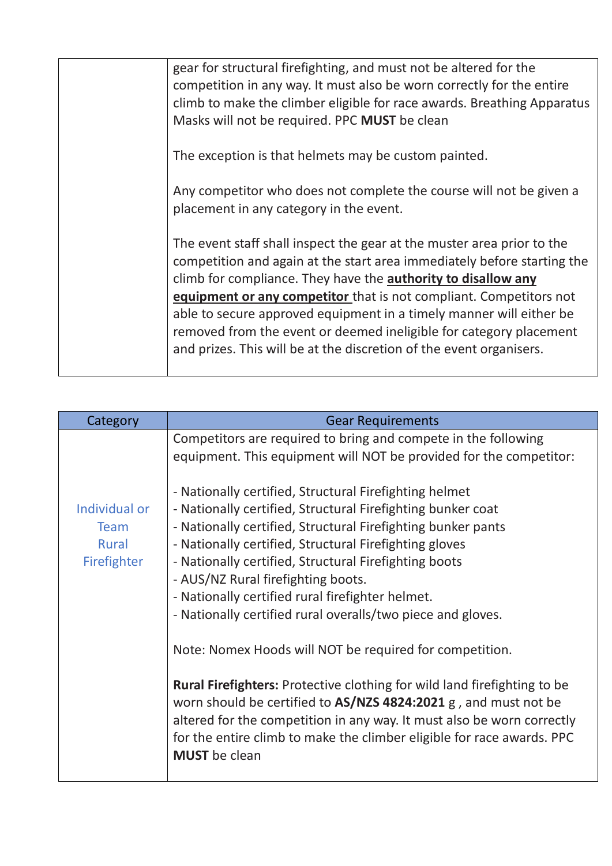| gear for structural firefighting, and must not be altered for the<br>competition in any way. It must also be worn correctly for the entire<br>climb to make the climber eligible for race awards. Breathing Apparatus<br>Masks will not be required. PPC MUST be clean                                                                                                                                                                                                                                       |
|--------------------------------------------------------------------------------------------------------------------------------------------------------------------------------------------------------------------------------------------------------------------------------------------------------------------------------------------------------------------------------------------------------------------------------------------------------------------------------------------------------------|
| The exception is that helmets may be custom painted.                                                                                                                                                                                                                                                                                                                                                                                                                                                         |
| Any competitor who does not complete the course will not be given a<br>placement in any category in the event.                                                                                                                                                                                                                                                                                                                                                                                               |
| The event staff shall inspect the gear at the muster area prior to the<br>competition and again at the start area immediately before starting the<br>climb for compliance. They have the authority to disallow any<br>equipment or any competitor that is not compliant. Competitors not<br>able to secure approved equipment in a timely manner will either be<br>removed from the event or deemed ineligible for category placement<br>and prizes. This will be at the discretion of the event organisers. |

| Category                                                    | <b>Gear Requirements</b>                                                                                                                                                                                                                                                                                                                                                                                                                                                               |
|-------------------------------------------------------------|----------------------------------------------------------------------------------------------------------------------------------------------------------------------------------------------------------------------------------------------------------------------------------------------------------------------------------------------------------------------------------------------------------------------------------------------------------------------------------------|
| Individual or<br><b>Team</b><br><b>Rural</b><br>Firefighter | Competitors are required to bring and compete in the following<br>equipment. This equipment will NOT be provided for the competitor:<br>- Nationally certified, Structural Firefighting helmet<br>- Nationally certified, Structural Firefighting bunker coat<br>- Nationally certified, Structural Firefighting bunker pants<br>- Nationally certified, Structural Firefighting gloves<br>- Nationally certified, Structural Firefighting boots<br>- AUS/NZ Rural firefighting boots. |
|                                                             | - Nationally certified rural firefighter helmet.<br>- Nationally certified rural overalls/two piece and gloves.<br>Note: Nomex Hoods will NOT be required for competition.                                                                                                                                                                                                                                                                                                             |
|                                                             | Rural Firefighters: Protective clothing for wild land firefighting to be<br>worn should be certified to AS/NZS 4824:2021 g, and must not be<br>altered for the competition in any way. It must also be worn correctly<br>for the entire climb to make the climber eligible for race awards. PPC<br><b>MUST</b> be clean                                                                                                                                                                |